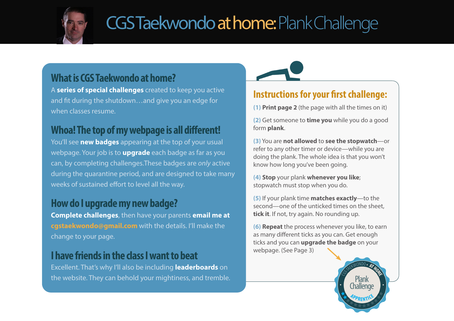

# CGS Taekwondo at home: Plank Challenge

### **What is CGS Taekwondo at home?**

A **series of special challenges** created to keep you active and fit during the shutdown…and give you an edge for when classes resume.

### **Whoa! The top of my webpage is all different!**

You'll see **new badges** appearing at the top of your usual webpage. Your job is to **upgrade** each badge as far as you can, by completing challenges.These badges are *only* active during the quarantine period, and are designed to take many weeks of sustained effort to level all the way.

### **How do I upgrade my new badge?**

**Complete challenges**, then have your parents **email me at cgstaekwondo@gmail.com** with the details. I'll make the change to your page.

### **I have friends in the class I want to beat**

Excellent. That's why I'll also be including **leaderboards** on the website. They can behold your mightiness, and tremble.



### **Instructions for your first challenge:**

**(1) Print page 2** (the page with all the times on it)

**(2)** Get someone to **time you** while you do a good form **plank**.

**(3)** You are **not allowed** to **see the stopwatch**—or refer to any other timer or device—while you are doing the plank. The whole idea is that you won't know how long you've been going.

**(4) Stop** your plank **whenever you like**; stopwatch must stop when you do.

**(5)** If your plank time **matches exactly**—to the second—one of the unticked times on the sheet, **tick it**. If not, try again. No rounding up.

**(6) Repeat** the process whenever you like, to earn as many different ticks as you can. Get enough ticks and you can **upgrade the badge** on your webpage. (See Page 3)

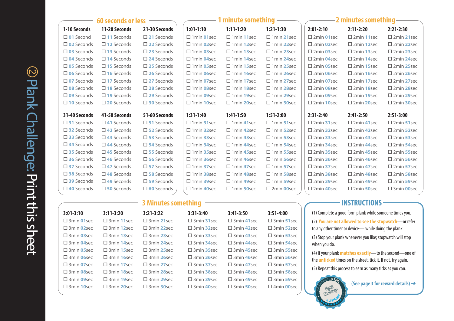| <b>60 seconds or less</b> |                      |                      | 1 minute something  |                        |                        | 2 minutes something   |                       |                       |
|---------------------------|----------------------|----------------------|---------------------|------------------------|------------------------|-----------------------|-----------------------|-----------------------|
| 1-10 Seconds              | 11-20 Seconds        | 21-30 Seconds        | $1:01-1:10$         | $1:11-1:20$            | $1:21-1:30$            | $2:01-2:10$           | $2:11-2:20$           | $2:21-2:30$           |
| $\square$ 01 Second       | $\square$ 11 Seconds | $\square$ 21 Seconds | $\Box$ 1 min 01 sec | $\Box$ 1 min 11 sec    | $\Box$ 1 min 21 sec    | $\square$ 2min 01sec  | $\square$ 2min 11sec  | $\square$ 2min 21sec  |
| $\square$ 02 Seconds      | $\square$ 12 Seconds | $\square$ 22 Seconds | $\Box$ 1 min 02 sec | $\Box$ 1 min 12 sec    | $\Box$ 1 min 22 sec    | $\square$ 2min 02sec  | $\square$ 2min 12sec  | $\square$ 2min 22sec  |
| $\square$ 03 Seconds      | $\square$ 13 Seconds | $\square$ 23 Seconds | $\Box$ 1 min 03 sec | $\Box$ 1 min 13 sec    | $\square$ 1 min 23 sec | $\square$ 2min 03 sec | $\square$ 2min 13 sec | $\square$ 2min 23sec  |
| $\square$ 04 Seconds      | $\square$ 14 Seconds | $\square$ 24 Seconds | $\Box$ 1 min 04 sec | $\Box$ 1 min 14 sec    | $\Box$ 1 min 24 sec    | $\square$ 2min 04sec  | $\square$ 2min 14 sec | $\square$ 2min 24sec  |
| $\square$ 05 Seconds      | $\square$ 15 Seconds | $\square$ 25 Seconds | $\Box$ 1 min 05 sec | $\square$ 1 min 15 sec | $\Box$ 1 min 25 sec    | $\square$ 2min 05sec  | $\square$ 2min 15sec  | $\square$ 2min 25sec  |
| $\square$ 06 Seconds      | $\square$ 16 Seconds | □ 26 Seconds         | $\Box$ 1 min 06 sec | $\Box$ 1 min 16 sec    | $\Box$ 1 min 26 sec    | $\square$ 2min 06sec  | $\square$ 2min 16sec  | $\square$ 2min 26sec  |
| $\square$ 07 Seconds      | $\square$ 17 Seconds | $\square$ 27 Seconds | $\Box$ 1 min 07 sec | $\Box$ 1 min 17 sec    | $\Box$ 1 min 27 sec    | $\square$ 2min 07sec  | $\square$ 2min 17 sec | $\square$ 2min 27 sec |
| $\square$ 08 Seconds      | $\square$ 18 Seconds | $\square$ 28 Seconds | $\Box$ 1 min 08 sec | $\Box$ 1 min 18 sec    | $\square$ 1 min 28 sec | $\square$ 2min 08sec  | $\square$ 2min 18sec  | $\square$ 2min 28sec  |
| $\square$ 09 Seconds      | $\square$ 19 Seconds | $\square$ 29 Seconds | $\Box$ 1 min 09 sec | $\Box$ 1 min 19 sec    | $\Box$ 1 min 29 sec    | $\square$ 2min 09sec  | $\square$ 2min 19sec  | $\square$ 2min 29sec  |
| $\square$ 10 Seconds      | $\square$ 20 Seconds | $\square$ 30 Seconds | $\Box$ 1 min 10 sec | $\Box$ 1 min 20 sec    | $\Box$ 1 min 30 sec    | $\square$ 2min 10sec  | $\square$ 2min 20sec  | $\square$ 2min 30sec  |
|                           |                      |                      |                     |                        |                        |                       |                       |                       |
| 31-40 Seconds             | 41-50 Seconds        | 51-60 Seconds        | $1:31-1:40$         | $1:41-1:50$            | $1:51-2:00$            | $2:31-2:40$           | $2:41-2:50$           | $2:51-3:00$           |
| $\square$ 31 Seconds      | $\square$ 41 Seconds | $\square$ 51 Seconds | $\Box$ 1 min 31 sec | $\Box$ 1 min 41 sec    | $\Box$ 1 min 51 sec    | $\square$ 2min 31 sec | $\square$ 2min 41 sec | $\square$ 2min 51sec  |
| $\square$ 32 Seconds      | $\square$ 42 Seconds | $\square$ 52 Seconds | $\Box$ 1 min 32 sec | $\square$ 1 min 42 sec | $\Box$ 1 min 52 sec    | $\square$ 2min 32sec  | $\square$ 2min 42sec  | $\square$ 2min 52sec  |
| $\square$ 33 Seconds      | $\square$ 43 Seconds | $\square$ 53 Seconds | $\Box$ 1 min 33 sec | $\Box$ 1 min 43 sec    | $\Box$ 1 min 53 sec    | $\square$ 2min 33 sec | $\square$ 2min 43 sec | $\square$ 2min 53sec  |
| $\square$ 34 Seconds      | $\square$ 44 Seconds | $\square$ 54 Seconds | $\Box$ 1 min 34 sec | $\Box$ 1 min 44 sec    | $\Box$ 1 min 54 sec    | $\square$ 2min 34sec  | $\square$ 2min 44 sec | $\square$ 2min 54sec  |
| $\square$ 35 Seconds      | $\square$ 45 Seconds | $\square$ 55 Seconds | $\Box$ 1 min 35 sec | $\Box$ 1 min 45 sec    | $\Box$ 1 min 55 sec    | $\square$ 2min 35sec  | $\square$ 2min 45 sec | $\square$ 2min 55sec  |
| $\square$ 36 Seconds      | $\square$ 46 Seconds | $\square$ 56 Seconds | $\Box$ 1 min 36 sec | $\Box$ 1 min 46 sec    | $\Box$ 1 min 56 sec    | $\square$ 2min 36sec  | $\square$ 2min 46 sec | $\square$ 2min 56sec  |
| $\square$ 37 Seconds      | $\square$ 47 Seconds | $\square$ 57 Seconds | $\Box$ 1 min 37 sec | $\Box$ 1 min 47 sec    | $\Box$ 1 min 57 sec    | $\square$ 2min 37 sec | $\square$ 2min 47 sec | $\square$ 2min 57sec  |
| $\square$ 38 Seconds      | $\square$ 48 Seconds | $\square$ 58 Seconds | $\Box$ 1 min 38 sec | $\Box$ 1 min 48 sec    | $\Box$ 1 min 58 sec    | $\square$ 2min 38 sec | $\square$ 2min 48 sec | $\square$ 2min 58sec  |
| $\square$ 39 Seconds      | $\square$ 49 Seconds | $\square$ 59 Seconds | $\Box$ 1 min 39 sec | $\Box$ 1 min 49 sec    | $\Box$ 1 min 59 sec    | $\square$ 2min 39 sec | $\square$ 2min 49 sec | $\square$ 2min 59sec  |
| $\square$ 40 Seconds      | $\square$ 50 Seconds | $\square$ 60 Seconds | $\Box$ 1 min 40 sec | $\square$ 1 min 50 sec | $\square$ 2min 00sec   | $\square$ 2min 40 sec | $\square$ 2min 50sec  | $\square$ 3min 00sec  |

#### **3:01-3:10** 3min **01**sec 3min **02**sec 3min **03**sec 3min **04**sec 3min **05**sec 3min **06**sec 3min **07**sec 3min **08**sec 3min **09**sec 3min **10**sec **3:31-3:40 3:11-3:20** 3min **11**sec 3min **12**sec 3min **13**sec 3min **14**sec 3min **15**sec 3min **16**sec 3min **17**sec 3min **18**sec 3min **19**sec 3min **20**sec **3:21-3:22** 3min **21**sec 3min **22**sec 3min **23**sec 3min **24**sec 3min **25**sec 3min **26**sec 3min **27**sec 3min **28**sec 3min **29**sec 3min **30**sec

#### **3 Minutes something**

| $3:31-3:40$            | $3:41 - 3:50$        | $3:51-4:00$          |  |  |  |  |  |  |
|------------------------|----------------------|----------------------|--|--|--|--|--|--|
| $\square$ 3 min 31 sec | $\square$ 3min 41sec | $\square$ 3min 51sec |  |  |  |  |  |  |
| $\square$ 3 min 32 sec | $\square$ 3min 42sec | $\square$ 3min 52sec |  |  |  |  |  |  |
| $\square$ 3min 33sec   | $\square$ 3min 43sec | $\square$ 3min 53sec |  |  |  |  |  |  |
| $\Box$ 3 min 34sec     | $\Box$ 3min 44sec    | $\Box$ 3min 54sec    |  |  |  |  |  |  |
| $\Box$ 3min 35sec      | $\Box$ 3min 45sec    | $\square$ 3min 55sec |  |  |  |  |  |  |
| $\square$ 3min 36sec   | $\square$ 3min 46sec | $\square$ 3min 56sec |  |  |  |  |  |  |
| $\square$ 3min 37sec   | $\square$ 3min 47sec | $\square$ 3min 57sec |  |  |  |  |  |  |
| $\square$ 3min 38sec   | $\square$ 3min 48sec | $\square$ 3min 58sec |  |  |  |  |  |  |
| $\square$ 3min 39sec   | $\Box$ 3min 49sec    | $\square$ 3min 59sec |  |  |  |  |  |  |
| $\square$ 3min 40sec   | $\square$ 3min 50sec | 4min 00sec           |  |  |  |  |  |  |

### **INSTRUCTIONS**

(1) Complete a good form plank while someone times you. (2) **You are not allowed to see the stopwatch**—or refer to any other timer or device— while doing the plank.

(3) Stop your plank whenever you like; stopwatch will stop when you do.

(4) If your plank **matches exactly**—to the second—one of the **unticked** times on the sheet, tick it. If not, try again. (5) Repeat this process to earn as many ticks as you can.



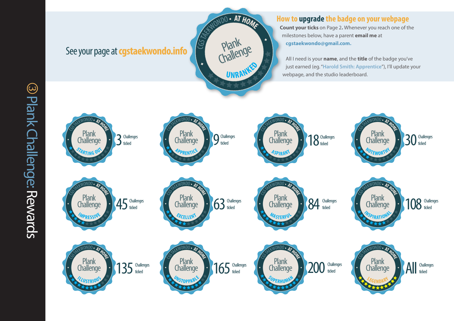### See your page at**cgstaekwondo.info**



### **How to upgrade the badge on your webpage**

**Count your ticks** on Page 2**.** Whenever you reach one of the milestones below, have a parent **email me** at **cgstaekwondo@gmail.com.**

All I need is your **name**, and the **title** of the badge you've just earned (eg. "**Harold Smith: Apprentice**"), I'll update your webpage, and the studio leaderboard.